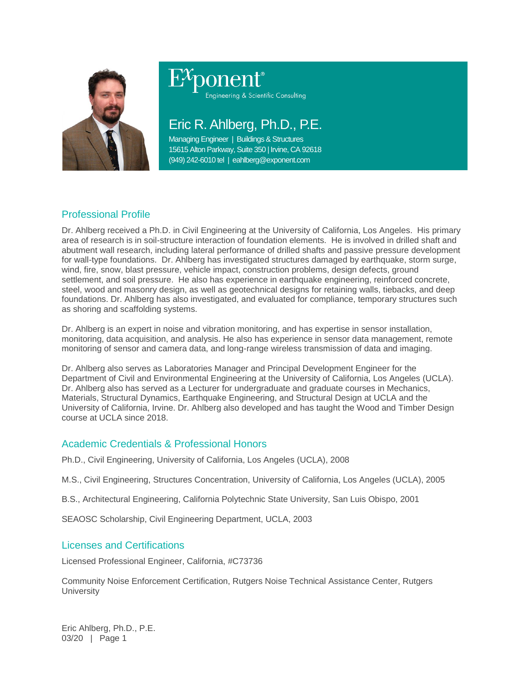

Engineering & Scientific Consulting

# Eric R. Ahlberg, Ph.D., P.E.

Managing Engineer | Buildings & Structures 15615 Alton Parkway, Suite 350 | Irvine, CA 92618 (949) 242-6010 tel | eahlberg@exponent.com

# Professional Profile

Dr. Ahlberg received a Ph.D. in Civil Engineering at the University of California, Los Angeles. His primary area of research is in soil-structure interaction of foundation elements. He is involved in drilled shaft and abutment wall research, including lateral performance of drilled shafts and passive pressure development for wall-type foundations. Dr. Ahlberg has investigated structures damaged by earthquake, storm surge, wind, fire, snow, blast pressure, vehicle impact, construction problems, design defects, ground settlement, and soil pressure. He also has experience in earthquake engineering, reinforced concrete, steel, wood and masonry design, as well as geotechnical designs for retaining walls, tiebacks, and deep foundations. Dr. Ahlberg has also investigated, and evaluated for compliance, temporary structures such as shoring and scaffolding systems.

Dr. Ahlberg is an expert in noise and vibration monitoring, and has expertise in sensor installation, monitoring, data acquisition, and analysis. He also has experience in sensor data management, remote monitoring of sensor and camera data, and long-range wireless transmission of data and imaging.

Dr. Ahlberg also serves as Laboratories Manager and Principal Development Engineer for the Department of Civil and Environmental Engineering at the University of California, Los Angeles (UCLA). Dr. Ahlberg also has served as a Lecturer for undergraduate and graduate courses in Mechanics, Materials, Structural Dynamics, Earthquake Engineering, and Structural Design at UCLA and the University of California, Irvine. Dr. Ahlberg also developed and has taught the Wood and Timber Design course at UCLA since 2018.

## Academic Credentials & Professional Honors

Ph.D., Civil Engineering, University of California, Los Angeles (UCLA), 2008

M.S., Civil Engineering, Structures Concentration, University of California, Los Angeles (UCLA), 2005

B.S., Architectural Engineering, California Polytechnic State University, San Luis Obispo, 2001

SEAOSC Scholarship, Civil Engineering Department, UCLA, 2003

### Licenses and Certifications

Licensed Professional Engineer, California, #C73736

Community Noise Enforcement Certification, Rutgers Noise Technical Assistance Center, Rutgers **University** 

Eric Ahlberg, Ph.D., P.E. 03/20 | Page 1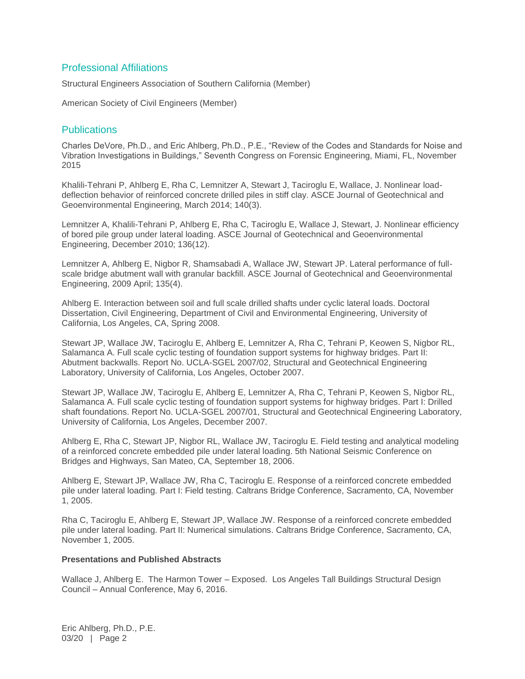#### Professional Affiliations

Structural Engineers Association of Southern California (Member)

American Society of Civil Engineers (Member)

#### Publications

Charles DeVore, Ph.D., and Eric Ahlberg, Ph.D., P.E., "Review of the Codes and Standards for Noise and Vibration Investigations in Buildings," Seventh Congress on Forensic Engineering, Miami, FL, November 2015

Khalili-Tehrani P, Ahlberg E, Rha C, Lemnitzer A, Stewart J, Taciroglu E, Wallace, J. Nonlinear loaddeflection behavior of reinforced concrete drilled piles in stiff clay. ASCE Journal of Geotechnical and Geoenvironmental Engineering, March 2014; 140(3).

Lemnitzer A, Khalili-Tehrani P, Ahlberg E, Rha C, Taciroglu E, Wallace J, Stewart, J. Nonlinear efficiency of bored pile group under lateral loading. ASCE Journal of Geotechnical and Geoenvironmental Engineering, December 2010; 136(12).

Lemnitzer A, Ahlberg E, Nigbor R, Shamsabadi A, Wallace JW, Stewart JP. Lateral performance of fullscale bridge abutment wall with granular backfill. ASCE Journal of Geotechnical and Geoenvironmental Engineering, 2009 April; 135(4).

Ahlberg E. Interaction between soil and full scale drilled shafts under cyclic lateral loads. Doctoral Dissertation, Civil Engineering, Department of Civil and Environmental Engineering, University of California, Los Angeles, CA, Spring 2008.

Stewart JP, Wallace JW, Taciroglu E, Ahlberg E, Lemnitzer A, Rha C, Tehrani P, Keowen S, Nigbor RL, Salamanca A. Full scale cyclic testing of foundation support systems for highway bridges. Part II: Abutment backwalls. Report No. UCLA-SGEL 2007/02, Structural and Geotechnical Engineering Laboratory, University of California, Los Angeles, October 2007.

Stewart JP, Wallace JW, Taciroglu E, Ahlberg E, Lemnitzer A, Rha C, Tehrani P, Keowen S, Nigbor RL, Salamanca A. Full scale cyclic testing of foundation support systems for highway bridges. Part I: Drilled shaft foundations. Report No. UCLA-SGEL 2007/01, Structural and Geotechnical Engineering Laboratory, University of California, Los Angeles, December 2007.

Ahlberg E, Rha C, Stewart JP, Nigbor RL, Wallace JW, Taciroglu E. Field testing and analytical modeling of a reinforced concrete embedded pile under lateral loading. 5th National Seismic Conference on Bridges and Highways, San Mateo, CA, September 18, 2006.

Ahlberg E, Stewart JP, Wallace JW, Rha C, Taciroglu E. Response of a reinforced concrete embedded pile under lateral loading. Part I: Field testing. Caltrans Bridge Conference, Sacramento, CA, November 1, 2005.

Rha C, Taciroglu E, Ahlberg E, Stewart JP, Wallace JW. Response of a reinforced concrete embedded pile under lateral loading. Part II: Numerical simulations. Caltrans Bridge Conference, Sacramento, CA, November 1, 2005.

#### **Presentations and Published Abstracts**

Wallace J, Ahlberg E. The Harmon Tower – Exposed. Los Angeles Tall Buildings Structural Design Council – Annual Conference, May 6, 2016.

Eric Ahlberg, Ph.D., P.E. 03/20 | Page 2